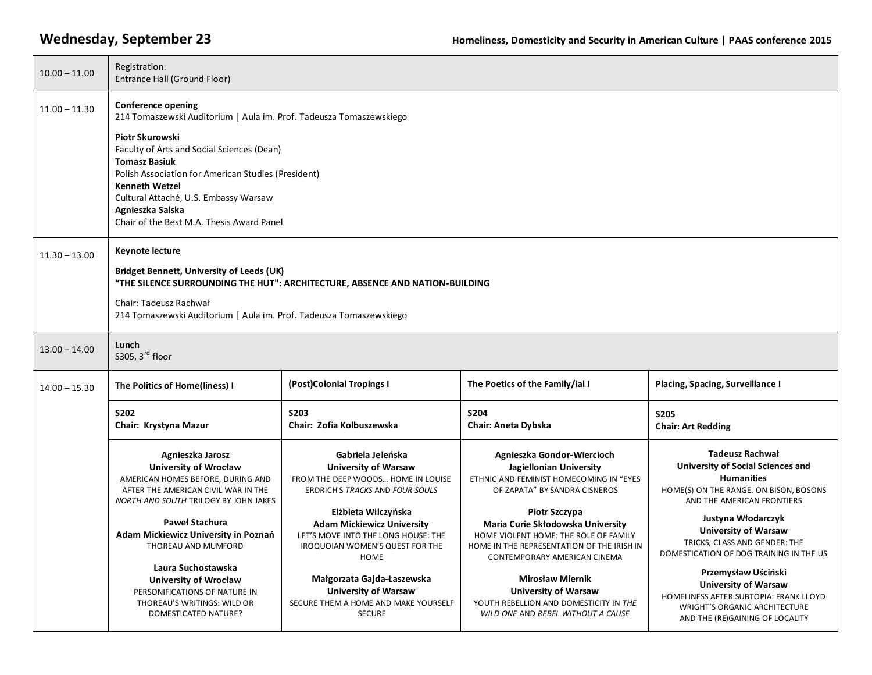| $10.00 - 11.00$ | Registration:<br>Entrance Hall (Ground Floor)                                                                                                                                                                                                                                   |                                                                                                                                            |                                                                                                                                                                           |                                                                                                                                                                         |  |
|-----------------|---------------------------------------------------------------------------------------------------------------------------------------------------------------------------------------------------------------------------------------------------------------------------------|--------------------------------------------------------------------------------------------------------------------------------------------|---------------------------------------------------------------------------------------------------------------------------------------------------------------------------|-------------------------------------------------------------------------------------------------------------------------------------------------------------------------|--|
| $11.00 - 11.30$ | Conference opening<br>214 Tomaszewski Auditorium   Aula im. Prof. Tadeusza Tomaszewskiego                                                                                                                                                                                       |                                                                                                                                            |                                                                                                                                                                           |                                                                                                                                                                         |  |
|                 | Piotr Skurowski<br>Faculty of Arts and Social Sciences (Dean)<br><b>Tomasz Basiuk</b><br>Polish Association for American Studies (President)<br><b>Kenneth Wetzel</b><br>Cultural Attaché, U.S. Embassy Warsaw<br>Agnieszka Salska<br>Chair of the Best M.A. Thesis Award Panel |                                                                                                                                            |                                                                                                                                                                           |                                                                                                                                                                         |  |
| $11.30 - 13.00$ | <b>Keynote lecture</b><br><b>Bridget Bennett, University of Leeds (UK)</b>                                                                                                                                                                                                      |                                                                                                                                            |                                                                                                                                                                           |                                                                                                                                                                         |  |
|                 | "THE SILENCE SURROUNDING THE HUT": ARCHITECTURE, ABSENCE AND NATION-BUILDING<br>Chair: Tadeusz Rachwał<br>214 Tomaszewski Auditorium   Aula im. Prof. Tadeusza Tomaszewskiego                                                                                                   |                                                                                                                                            |                                                                                                                                                                           |                                                                                                                                                                         |  |
| $13.00 - 14.00$ | Lunch<br>\$305, 3rd floor                                                                                                                                                                                                                                                       |                                                                                                                                            |                                                                                                                                                                           |                                                                                                                                                                         |  |
| $14.00 - 15.30$ | The Politics of Home(liness) I                                                                                                                                                                                                                                                  | (Post)Colonial Tropings I                                                                                                                  | The Poetics of the Family/ial I                                                                                                                                           | Placing, Spacing, Surveillance I                                                                                                                                        |  |
|                 | S202<br>Chair: Krystyna Mazur                                                                                                                                                                                                                                                   | <b>S203</b><br>Chair: Zofia Kolbuszewska                                                                                                   | S204<br>Chair: Aneta Dybska                                                                                                                                               | <b>S205</b><br><b>Chair: Art Redding</b>                                                                                                                                |  |
|                 | Agnieszka Jarosz<br><b>University of Wrocław</b><br>AMERICAN HOMES BEFORE, DURING AND<br>AFTER THE AMERICAN CIVIL WAR IN THE<br><b>NORTH AND SOUTH TRILOGY BY JOHN JAKES</b>                                                                                                    | Gabriela Jeleńska<br><b>University of Warsaw</b><br>FROM THE DEEP WOODS HOME IN LOUISE<br>ERDRICH'S TRACKS AND FOUR SOULS                  | Agnieszka Gondor-Wiercioch<br>Jagiellonian University<br>ETHNIC AND FEMINIST HOMECOMING IN "EYES<br>OF ZAPATA" BY SANDRA CISNEROS                                         | <b>Tadeusz Rachwał</b><br><b>University of Social Sciences and</b><br><b>Humanities</b><br>HOME(S) ON THE RANGE. ON BISON, BOSONS<br>AND THE AMERICAN FRONTIERS         |  |
|                 | <b>Paweł Stachura</b><br>Adam Mickiewicz University in Poznań<br>THOREAU AND MUMFORD                                                                                                                                                                                            | Elżbieta Wilczyńska<br><b>Adam Mickiewicz University</b><br>LET'S MOVE INTO THE LONG HOUSE: THE<br>IROQUOIAN WOMEN'S QUEST FOR THE<br>HOME | Piotr Szczypa<br>Maria Curie Skłodowska University<br>HOME VIOLENT HOME: THE ROLE OF FAMILY<br>HOME IN THE REPRESENTATION OF THE IRISH IN<br>CONTEMPORARY AMERICAN CINEMA | Justyna Włodarczyk<br><b>University of Warsaw</b><br>TRICKS, CLASS AND GENDER: THE<br>DOMESTICATION OF DOG TRAINING IN THE US                                           |  |
|                 | Laura Suchostawska<br><b>University of Wrocław</b><br>PERSONIFICATIONS OF NATURE IN<br>THOREAU'S WRITINGS: WILD OR<br>DOMESTICATED NATURE?                                                                                                                                      | Małgorzata Gajda-Łaszewska<br><b>University of Warsaw</b><br>SECURE THEM A HOME AND MAKE YOURSELF<br><b>SECURE</b>                         | <b>Mirosław Miernik</b><br><b>University of Warsaw</b><br>YOUTH REBELLION AND DOMESTICITY IN THE<br>WILD ONE AND REBEL WITHOUT A CAUSE                                    | Przemysław Uściński<br><b>University of Warsaw</b><br>HOMELINESS AFTER SUBTOPIA: FRANK LLOYD<br><b>WRIGHT'S ORGANIC ARCHITECTURE</b><br>AND THE (RE)GAINING OF LOCALITY |  |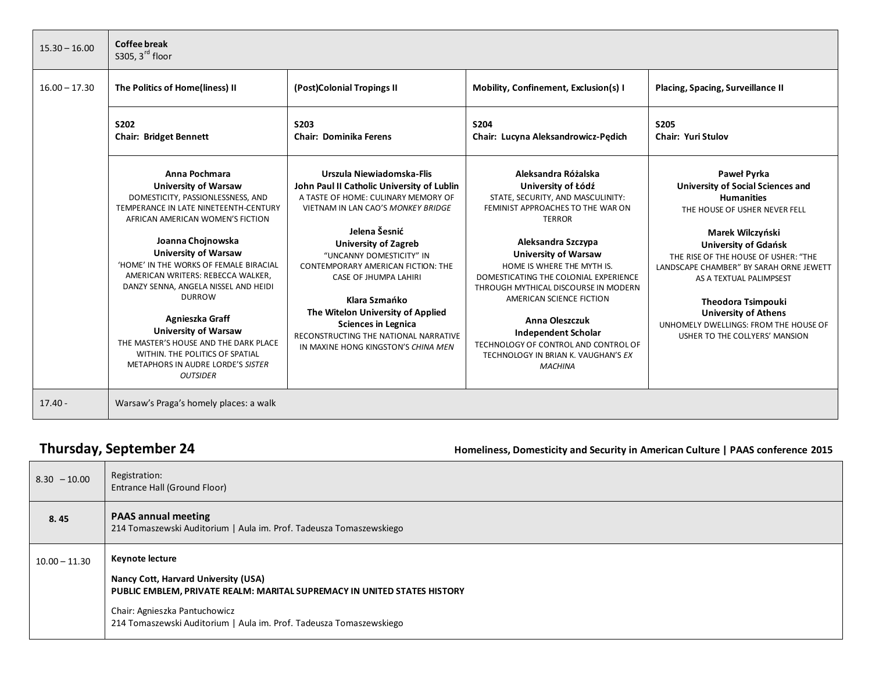| $15.30 - 16.00$ | Coffee break<br>S305, $3^{\text{rd}}$ floor                                                                                                                                                                                                                                                                                                                                                                                                                                                                                                      |                                                                                                                                                                                                                                                                                                                                                                                                                                                                            |                                                                                                                                                                                                                                                                                                                                                                                                                                                                                              |                                                                                                                                                                                                                                                                                                                                                                                                                       |
|-----------------|--------------------------------------------------------------------------------------------------------------------------------------------------------------------------------------------------------------------------------------------------------------------------------------------------------------------------------------------------------------------------------------------------------------------------------------------------------------------------------------------------------------------------------------------------|----------------------------------------------------------------------------------------------------------------------------------------------------------------------------------------------------------------------------------------------------------------------------------------------------------------------------------------------------------------------------------------------------------------------------------------------------------------------------|----------------------------------------------------------------------------------------------------------------------------------------------------------------------------------------------------------------------------------------------------------------------------------------------------------------------------------------------------------------------------------------------------------------------------------------------------------------------------------------------|-----------------------------------------------------------------------------------------------------------------------------------------------------------------------------------------------------------------------------------------------------------------------------------------------------------------------------------------------------------------------------------------------------------------------|
| $16.00 - 17.30$ | The Politics of Home(liness) II                                                                                                                                                                                                                                                                                                                                                                                                                                                                                                                  | (Post)Colonial Tropings II                                                                                                                                                                                                                                                                                                                                                                                                                                                 | Mobility, Confinement, Exclusion(s) I                                                                                                                                                                                                                                                                                                                                                                                                                                                        | Placing, Spacing, Surveillance II                                                                                                                                                                                                                                                                                                                                                                                     |
|                 | S202<br><b>Chair: Bridget Bennett</b>                                                                                                                                                                                                                                                                                                                                                                                                                                                                                                            | <b>S203</b><br><b>Chair: Dominika Ferens</b>                                                                                                                                                                                                                                                                                                                                                                                                                               | <b>S204</b><br>Chair: Lucyna Aleksandrowicz-Pedich                                                                                                                                                                                                                                                                                                                                                                                                                                           | <b>S205</b><br><b>Chair: Yuri Stulov</b>                                                                                                                                                                                                                                                                                                                                                                              |
|                 | Anna Pochmara<br><b>University of Warsaw</b><br>DOMESTICITY, PASSIONLESSNESS, AND<br>TEMPERANCE IN LATE NINETEENTH-CENTURY<br>AFRICAN AMERICAN WOMEN'S FICTION<br>Joanna Chojnowska<br><b>University of Warsaw</b><br>'HOME' IN THE WORKS OF FEMALE BIRACIAL<br>AMERICAN WRITERS: REBECCA WALKER,<br>DANZY SENNA, ANGELA NISSEL AND HEIDI<br><b>DURROW</b><br>Agnieszka Graff<br><b>University of Warsaw</b><br>THE MASTER'S HOUSE AND THE DARK PLACE<br>WITHIN. THE POLITICS OF SPATIAL<br>METAPHORS IN AUDRE LORDE'S SISTER<br><b>OUTSIDER</b> | Urszula Niewiadomska-Flis<br>John Paul II Catholic University of Lublin<br>A TASTE OF HOME: CULINARY MEMORY OF<br>VIETNAM IN LAN CAO'S MONKEY BRIDGE<br>Jelena Šesnić<br><b>University of Zagreb</b><br>"UNCANNY DOMESTICITY" IN<br>CONTEMPORARY AMERICAN FICTION: THE<br><b>CASE OF JHUMPA LAHIRI</b><br>Klara Szmańko<br>The Witelon University of Applied<br><b>Sciences in Legnica</b><br>RECONSTRUCTING THE NATIONAL NARRATIVE<br>IN MAXINE HONG KINGSTON'S CHINA MEN | Aleksandra Różalska<br>University of Łódź<br>STATE, SECURITY, AND MASCULINITY:<br>FEMINIST APPROACHES TO THE WAR ON<br><b>TERROR</b><br>Aleksandra Szczypa<br><b>University of Warsaw</b><br>HOME IS WHERE THE MYTH IS.<br>DOMESTICATING THE COLONIAL EXPERIENCE<br>THROUGH MYTHICAL DISCOURSE IN MODERN<br>AMERICAN SCIENCE FICTION<br><b>Anna Oleszczuk</b><br><b>Independent Scholar</b><br>TECHNOLOGY OF CONTROL AND CONTROL OF<br>TECHNOLOGY IN BRIAN K. VAUGHAN'S EX<br><b>MACHINA</b> | Paweł Pyrka<br><b>University of Social Sciences and</b><br><b>Humanities</b><br>THE HOUSE OF USHER NEVER FELL<br>Marek Wilczyński<br><b>University of Gdańsk</b><br>THE RISE OF THE HOUSE OF USHER: "THE<br>LANDSCAPE CHAMBER" BY SARAH ORNE JEWETT<br>AS A TEXTUAL PALIMPSEST<br><b>Theodora Tsimpouki</b><br><b>University of Athens</b><br>UNHOMELY DWELLINGS: FROM THE HOUSE OF<br>USHER TO THE COLLYERS' MANSION |
| $17.40 -$       | Warsaw's Praga's homely places: a walk                                                                                                                                                                                                                                                                                                                                                                                                                                                                                                           |                                                                                                                                                                                                                                                                                                                                                                                                                                                                            |                                                                                                                                                                                                                                                                                                                                                                                                                                                                                              |                                                                                                                                                                                                                                                                                                                                                                                                                       |

**Thursday, September 24** *Homeliness, Domesticity and Security in American Culture* **| PAAS conference 2015** 

| $8.30 - 10.00$  | Registration:<br>Entrance Hall (Ground Floor)                                                                                                                                                                                               |
|-----------------|---------------------------------------------------------------------------------------------------------------------------------------------------------------------------------------------------------------------------------------------|
| 8.45            | <b>PAAS annual meeting</b><br>214 Tomaszewski Auditorium   Aula im. Prof. Tadeusza Tomaszewskiego                                                                                                                                           |
| $10.00 - 11.30$ | Keynote lecture<br>Nancy Cott, Harvard University (USA)<br>PUBLIC EMBLEM, PRIVATE REALM: MARITAL SUPREMACY IN UNITED STATES HISTORY<br>Chair: Agnieszka Pantuchowicz<br>214 Tomaszewski Auditorium   Aula im. Prof. Tadeusza Tomaszewskiego |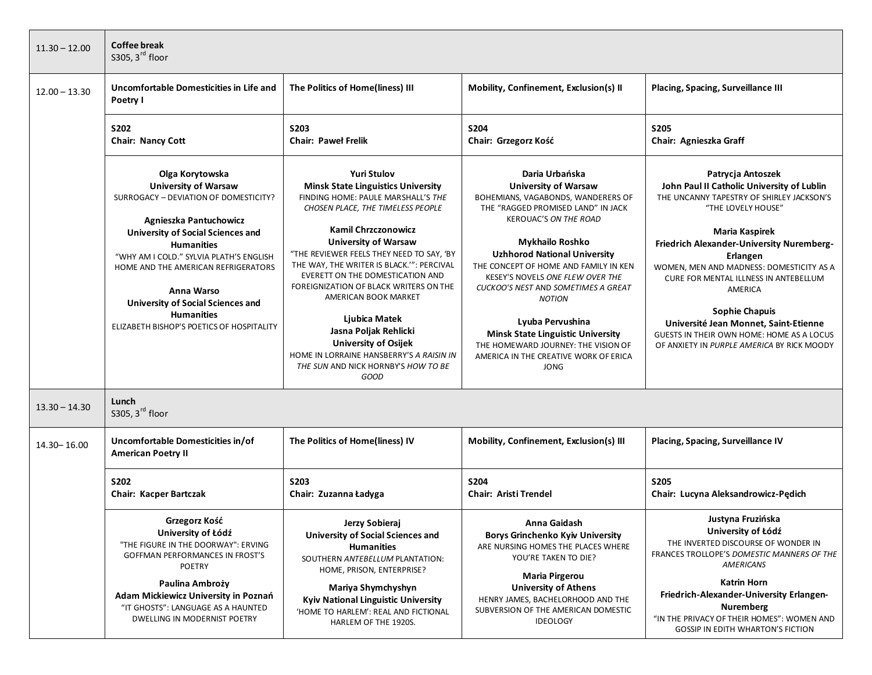| $11.30 - 12.00$ | <b>Coffee break</b><br>S305, $3^{\text{rd}}$ floor                                                                                                                                                                                                                                                                                                                                               |                                                                                                                                                                                                                                                                                                                                                                                                                                                                                                                                                                             |                                                                                                                                                                                                                                                                                                                                                                                                                                                                                                                                |                                                                                                                                                                                                                                                                                                                                                                                                                                                                                   |
|-----------------|--------------------------------------------------------------------------------------------------------------------------------------------------------------------------------------------------------------------------------------------------------------------------------------------------------------------------------------------------------------------------------------------------|-----------------------------------------------------------------------------------------------------------------------------------------------------------------------------------------------------------------------------------------------------------------------------------------------------------------------------------------------------------------------------------------------------------------------------------------------------------------------------------------------------------------------------------------------------------------------------|--------------------------------------------------------------------------------------------------------------------------------------------------------------------------------------------------------------------------------------------------------------------------------------------------------------------------------------------------------------------------------------------------------------------------------------------------------------------------------------------------------------------------------|-----------------------------------------------------------------------------------------------------------------------------------------------------------------------------------------------------------------------------------------------------------------------------------------------------------------------------------------------------------------------------------------------------------------------------------------------------------------------------------|
| $12.00 - 13.30$ | Uncomfortable Domesticities in Life and<br>Poetry I                                                                                                                                                                                                                                                                                                                                              | The Politics of Home(liness) III                                                                                                                                                                                                                                                                                                                                                                                                                                                                                                                                            | Mobility, Confinement, Exclusion(s) II                                                                                                                                                                                                                                                                                                                                                                                                                                                                                         | Placing, Spacing, Surveillance III                                                                                                                                                                                                                                                                                                                                                                                                                                                |
|                 | <b>S202</b><br><b>Chair: Nancy Cott</b>                                                                                                                                                                                                                                                                                                                                                          | S203<br><b>Chair: Pawel Frelik</b>                                                                                                                                                                                                                                                                                                                                                                                                                                                                                                                                          | <b>S204</b><br>Chair: Grzegorz Kość                                                                                                                                                                                                                                                                                                                                                                                                                                                                                            | <b>S205</b><br>Chair: Agnieszka Graff                                                                                                                                                                                                                                                                                                                                                                                                                                             |
|                 | Olga Korytowska<br><b>University of Warsaw</b><br>SURROGACY - DEVIATION OF DOMESTICITY?<br>Agnieszka Pantuchowicz<br><b>University of Social Sciences and</b><br><b>Humanities</b><br>"WHY AM I COLD." SYLVIA PLATH'S ENGLISH<br>HOME AND THE AMERICAN REFRIGERATORS<br>Anna Warso<br><b>University of Social Sciences and</b><br><b>Humanities</b><br>ELIZABETH BISHOP'S POETICS OF HOSPITALITY | <b>Yuri Stulov</b><br><b>Minsk State Linguistics University</b><br>FINDING HOME: PAULE MARSHALL'S THE<br>CHOSEN PLACE, THE TIMELESS PEOPLE<br><b>Kamil Chrzczonowicz</b><br><b>University of Warsaw</b><br>"THE REVIEWER FEELS THEY NEED TO SAY, 'BY<br>THE WAY, THE WRITER IS BLACK."": PERCIVAL<br>EVERETT ON THE DOMESTICATION AND<br>FOREIGNIZATION OF BLACK WRITERS ON THE<br>AMERICAN BOOK MARKET<br>Ljubica Matek<br>Jasna Poljak Rehlicki<br><b>University of Osijek</b><br>HOME IN LORRAINE HANSBERRY'S A RAISIN IN<br>THE SUN AND NICK HORNBY'S HOW TO BE<br>GOOD | Daria Urbańska<br><b>University of Warsaw</b><br>BOHEMIANS, VAGABONDS, WANDERERS OF<br>THE "RAGGED PROMISED LAND" IN JACK<br><b>KEROUAC'S ON THE ROAD</b><br><b>Mykhailo Roshko</b><br><b>Uzhhorod National University</b><br>THE CONCEPT OF HOME AND FAMILY IN KEN<br>KESEY'S NOVELS ONE FLEW OVER THE<br>CUCKOO'S NEST AND SOMETIMES A GREAT<br><b>NOTION</b><br>Lyuba Pervushina<br><b>Minsk State Linguistic University</b><br>THE HOMEWARD JOURNEY: THE VISION OF<br>AMERICA IN THE CREATIVE WORK OF ERICA<br><b>JONG</b> | Patrycja Antoszek<br>John Paul II Catholic University of Lublin<br>THE UNCANNY TAPESTRY OF SHIRLEY JACKSON'S<br>"THE LOVELY HOUSE"<br><b>Maria Kaspirek</b><br>Friedrich Alexander-University Nuremberg-<br>Erlangen<br>WOMEN, MEN AND MADNESS: DOMESTICITY AS A<br>CURE FOR MENTAL ILLNESS IN ANTEBELLUM<br>AMERICA<br><b>Sophie Chapuis</b><br>Université Jean Monnet, Saint-Etienne<br>GUESTS IN THEIR OWN HOME: HOME AS A LOCUS<br>OF ANXIETY IN PURPLE AMERICA BY RICK MOODY |
| $13.30 - 14.30$ | Lunch<br>\$305, 3rd floor                                                                                                                                                                                                                                                                                                                                                                        |                                                                                                                                                                                                                                                                                                                                                                                                                                                                                                                                                                             |                                                                                                                                                                                                                                                                                                                                                                                                                                                                                                                                |                                                                                                                                                                                                                                                                                                                                                                                                                                                                                   |
| 14.30 - 16.00   | Uncomfortable Domesticities in/of<br><b>American Poetry II</b>                                                                                                                                                                                                                                                                                                                                   | The Politics of Home(liness) IV                                                                                                                                                                                                                                                                                                                                                                                                                                                                                                                                             | Mobility, Confinement, Exclusion(s) III                                                                                                                                                                                                                                                                                                                                                                                                                                                                                        | Placing, Spacing, Surveillance IV                                                                                                                                                                                                                                                                                                                                                                                                                                                 |
|                 | <b>S202</b><br>Chair: Kacper Bartczak                                                                                                                                                                                                                                                                                                                                                            | <b>S203</b><br>Chair: Zuzanna Ładyga                                                                                                                                                                                                                                                                                                                                                                                                                                                                                                                                        | S204<br><b>Chair: Aristi Trendel</b>                                                                                                                                                                                                                                                                                                                                                                                                                                                                                           | <b>S205</b><br>Chair: Lucyna Aleksandrowicz-Pędich                                                                                                                                                                                                                                                                                                                                                                                                                                |
|                 | Grzegorz Kość<br>University of Łódź<br>"THE FIGURE IN THE DOORWAY": ERVING<br><b>GOFFMAN PERFORMANCES IN FROST'S</b><br><b>POETRY</b><br>Paulina Ambroży<br>Adam Mickiewicz University in Poznań<br>"IT GHOSTS": LANGUAGE AS A HAUNTED<br>DWELLING IN MODERNIST POETRY                                                                                                                           | Jerzy Sobieraj<br><b>University of Social Sciences and</b><br><b>Humanities</b><br>SOUTHERN ANTEBELLUM PLANTATION:<br>HOME, PRISON, ENTERPRISE?<br>Mariya Shymchyshyn<br>Kyiv National Linguistic University<br>'HOME TO HARLEM': REAL AND FICTIONAL<br>HARLEM OF THE 1920S.                                                                                                                                                                                                                                                                                                | Anna Gaidash<br><b>Borys Grinchenko Kyiv University</b><br>ARE NURSING HOMES THE PLACES WHERE<br>YOU'RE TAKEN TO DIE?<br><b>Maria Pirgerou</b><br><b>University of Athens</b><br>HENRY JAMES, BACHELORHOOD AND THE<br>SUBVERSION OF THE AMERICAN DOMESTIC<br><b>IDEOLOGY</b>                                                                                                                                                                                                                                                   | Justyna Fruzińska<br>University of Łódź<br>THE INVERTED DISCOURSE OF WONDER IN<br>FRANCES TROLLOPE'S DOMESTIC MANNERS OF THE<br>AMERICANS<br><b>Katrin Horn</b><br>Friedrich-Alexander-University Erlangen-<br><b>Nuremberg</b><br>"IN THE PRIVACY OF THEIR HOMES": WOMEN AND<br>GOSSIP IN EDITH WHARTON'S FICTION                                                                                                                                                                |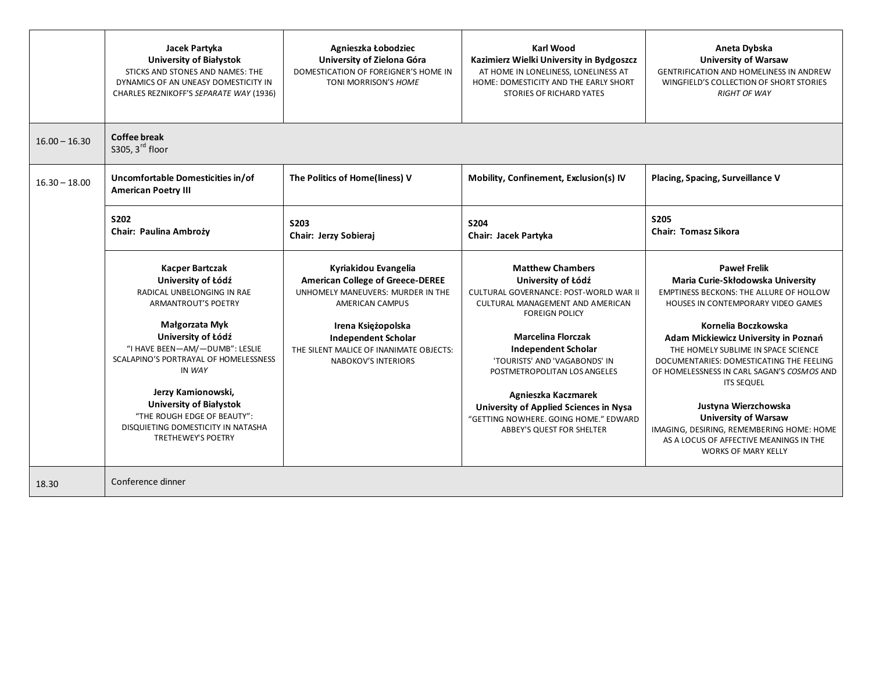|                 | Jacek Partyka<br><b>University of Białystok</b><br>STICKS AND STONES AND NAMES: THE<br>DYNAMICS OF AN UNEASY DOMESTICITY IN<br>CHARLES REZNIKOFF'S SEPARATE WAY (1936)                                                                                                                                                                                                            | Agnieszka Łobodziec<br>University of Zielona Góra<br>DOMESTICATION OF FOREIGNER'S HOME IN<br>TONI MORRISON'S HOME                                                                                                                                    | Karl Wood<br>Kazimierz Wielki University in Bydgoszcz<br>AT HOME IN LONELINESS, LONELINESS AT<br>HOME: DOMESTICITY AND THE EARLY SHORT<br>STORIES OF RICHARD YATES                                                                                                                                                                                                                                                             | Aneta Dybska<br><b>University of Warsaw</b><br><b>GENTRIFICATION AND HOMELINESS IN ANDREW</b><br>WINGFIELD'S COLLECTION OF SHORT STORIES<br><b>RIGHT OF WAY</b>                                                                                                                                                                                                                                                                                                                                                                             |
|-----------------|-----------------------------------------------------------------------------------------------------------------------------------------------------------------------------------------------------------------------------------------------------------------------------------------------------------------------------------------------------------------------------------|------------------------------------------------------------------------------------------------------------------------------------------------------------------------------------------------------------------------------------------------------|--------------------------------------------------------------------------------------------------------------------------------------------------------------------------------------------------------------------------------------------------------------------------------------------------------------------------------------------------------------------------------------------------------------------------------|---------------------------------------------------------------------------------------------------------------------------------------------------------------------------------------------------------------------------------------------------------------------------------------------------------------------------------------------------------------------------------------------------------------------------------------------------------------------------------------------------------------------------------------------|
| $16.00 - 16.30$ | <b>Coffee break</b><br>\$305, 3rd floor                                                                                                                                                                                                                                                                                                                                           |                                                                                                                                                                                                                                                      |                                                                                                                                                                                                                                                                                                                                                                                                                                |                                                                                                                                                                                                                                                                                                                                                                                                                                                                                                                                             |
| $16.30 - 18.00$ | Uncomfortable Domesticities in/of<br><b>American Poetry III</b>                                                                                                                                                                                                                                                                                                                   | The Politics of Home(liness) V                                                                                                                                                                                                                       | Mobility, Confinement, Exclusion(s) IV                                                                                                                                                                                                                                                                                                                                                                                         | Placing, Spacing, Surveillance V                                                                                                                                                                                                                                                                                                                                                                                                                                                                                                            |
|                 | <b>S202</b><br>Chair: Paulina Ambroży                                                                                                                                                                                                                                                                                                                                             | S203<br>Chair: Jerzy Sobieraj                                                                                                                                                                                                                        | <b>S204</b><br>Chair: Jacek Partyka                                                                                                                                                                                                                                                                                                                                                                                            | <b>S205</b><br><b>Chair: Tomasz Sikora</b>                                                                                                                                                                                                                                                                                                                                                                                                                                                                                                  |
|                 | <b>Kacper Bartczak</b><br>University of Łódź<br>RADICAL UNBELONGING IN RAE<br>ARMANTROUT'S POETRY<br>Małgorzata Myk<br>University of Łódź<br>"I HAVE BEEN-AM/-DUMB": LESLIE<br>SCALAPINO'S PORTRAYAL OF HOMELESSNESS<br>IN WAY<br>Jerzy Kamionowski,<br><b>University of Białystok</b><br>"THE ROUGH EDGE OF BEAUTY":<br>DISQUIETING DOMESTICITY IN NATASHA<br>TRETHEWEY'S POETRY | Kyriakidou Evangelia<br><b>American College of Greece-DEREE</b><br>UNHOMELY MANEUVERS: MURDER IN THE<br>AMERICAN CAMPUS<br>Irena Księżopolska<br><b>Independent Scholar</b><br>THE SILENT MALICE OF INANIMATE OBJECTS:<br><b>NABOKOV'S INTERIORS</b> | <b>Matthew Chambers</b><br>University of Łódź<br>CULTURAL GOVERNANCE: POST-WORLD WAR II<br>CULTURAL MANAGEMENT AND AMERICAN<br><b>FOREIGN POLICY</b><br><b>Marcelina Florczak</b><br><b>Independent Scholar</b><br>'TOURISTS' AND 'VAGABONDS' IN<br>POSTMETROPOLITAN LOS ANGELES<br>Agnieszka Kaczmarek<br>University of Applied Sciences in Nysa<br>"GETTING NOWHERE, GOING HOME," EDWARD<br><b>ABBEY'S QUEST FOR SHELTER</b> | <b>Paweł Frelik</b><br>Maria Curie-Skłodowska University<br>EMPTINESS BECKONS: THE ALLURE OF HOLLOW<br>HOUSES IN CONTEMPORARY VIDEO GAMES<br>Kornelia Boczkowska<br>Adam Mickiewicz University in Poznań<br>THE HOMELY SUBLIME IN SPACE SCIENCE<br>DOCUMENTARIES: DOMESTICATING THE FEELING<br>OF HOMELESSNESS IN CARL SAGAN'S COSMOS AND<br><b>ITS SEQUEL</b><br>Justyna Wierzchowska<br><b>University of Warsaw</b><br>IMAGING, DESIRING, REMEMBERING HOME: HOME<br>AS A LOCUS OF AFFECTIVE MEANINGS IN THE<br><b>WORKS OF MARY KELLY</b> |
| 18.30           | Conference dinner                                                                                                                                                                                                                                                                                                                                                                 |                                                                                                                                                                                                                                                      |                                                                                                                                                                                                                                                                                                                                                                                                                                |                                                                                                                                                                                                                                                                                                                                                                                                                                                                                                                                             |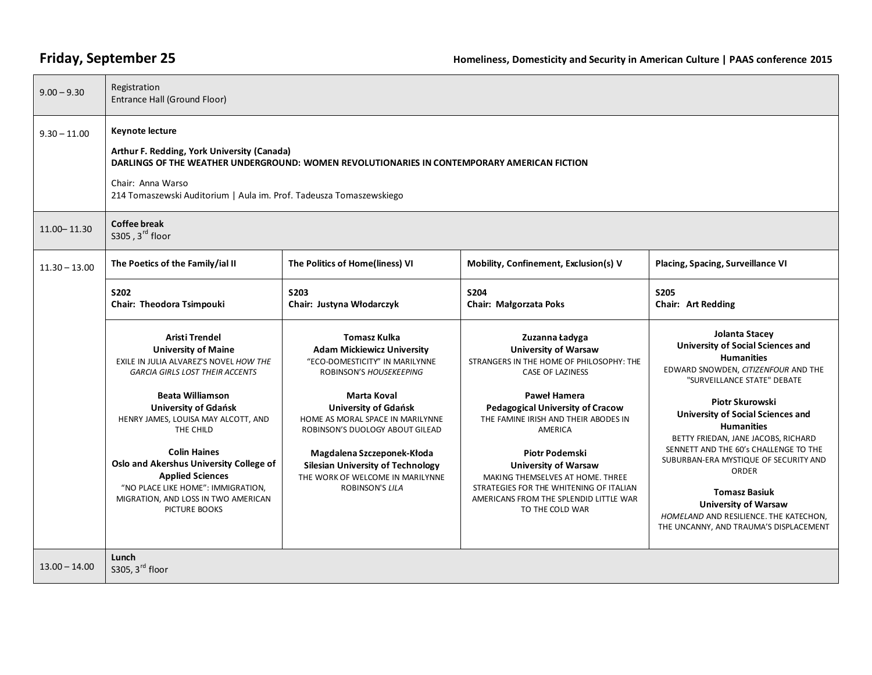| $9.00 - 9.30$   | Registration<br>Entrance Hall (Ground Floor)                                                                                                                                                                                                                     |                                                                                                                                      |                                                                                                                                                                                                  |                                                                                                                                                                                                                                    |
|-----------------|------------------------------------------------------------------------------------------------------------------------------------------------------------------------------------------------------------------------------------------------------------------|--------------------------------------------------------------------------------------------------------------------------------------|--------------------------------------------------------------------------------------------------------------------------------------------------------------------------------------------------|------------------------------------------------------------------------------------------------------------------------------------------------------------------------------------------------------------------------------------|
| $9.30 - 11.00$  | <b>Keynote lecture</b><br>Arthur F. Redding, York University (Canada)<br>DARLINGS OF THE WEATHER UNDERGROUND: WOMEN REVOLUTIONARIES IN CONTEMPORARY AMERICAN FICTION<br>Chair: Anna Warso<br>214 Tomaszewski Auditorium   Aula im. Prof. Tadeusza Tomaszewskiego |                                                                                                                                      |                                                                                                                                                                                                  |                                                                                                                                                                                                                                    |
| $11.00 - 11.30$ | <b>Coffee break</b><br>\$305, 3rd floor                                                                                                                                                                                                                          |                                                                                                                                      |                                                                                                                                                                                                  |                                                                                                                                                                                                                                    |
| $11.30 - 13.00$ | The Poetics of the Family/ial II                                                                                                                                                                                                                                 | The Politics of Home(liness) VI                                                                                                      | Mobility, Confinement, Exclusion(s) V                                                                                                                                                            | Placing, Spacing, Surveillance VI                                                                                                                                                                                                  |
|                 | S202<br>Chair: Theodora Tsimpouki                                                                                                                                                                                                                                | <b>S203</b><br>Chair: Justyna Włodarczyk                                                                                             | <b>S204</b><br>Chair: Małgorzata Poks                                                                                                                                                            | <b>S205</b><br><b>Chair: Art Redding</b>                                                                                                                                                                                           |
|                 | Aristi Trendel<br><b>University of Maine</b><br>EXILE IN JULIA ALVAREZ'S NOVEL HOW THE<br><b>GARCIA GIRLS LOST THEIR ACCENTS</b>                                                                                                                                 | <b>Tomasz Kulka</b><br><b>Adam Mickiewicz University</b><br>"ECO-DOMESTICITY" IN MARILYNNE<br>ROBINSON'S HOUSEKEEPING                | Zuzanna Ładyga<br><b>University of Warsaw</b><br>STRANGERS IN THE HOME OF PHILOSOPHY: THE<br><b>CASE OF LAZINESS</b>                                                                             | Jolanta Stacey<br><b>University of Social Sciences and</b><br><b>Humanities</b><br>EDWARD SNOWDEN, CITIZENFOUR AND THE<br>"SURVEILLANCE STATE" DEBATE                                                                              |
|                 | <b>Beata Williamson</b><br><b>University of Gdańsk</b><br>HENRY JAMES, LOUISA MAY ALCOTT, AND<br>THE CHILD                                                                                                                                                       | Marta Koval<br><b>University of Gdańsk</b><br>HOME AS MORAL SPACE IN MARILYNNE<br>ROBINSON'S DUOLOGY ABOUT GILEAD                    | <b>Paweł Hamera</b><br><b>Pedagogical University of Cracow</b><br>THE FAMINE IRISH AND THEIR ABODES IN<br>AMERICA                                                                                | Piotr Skurowski<br><b>University of Social Sciences and</b><br><b>Humanities</b><br>BETTY FRIEDAN, JANE JACOBS, RICHARD                                                                                                            |
|                 | <b>Colin Haines</b><br>Oslo and Akershus University College of<br><b>Applied Sciences</b><br>"NO PLACE LIKE HOME": IMMIGRATION,<br>MIGRATION, AND LOSS IN TWO AMERICAN<br>PICTURE BOOKS                                                                          | Magdalena Szczeponek-Kłoda<br><b>Silesian University of Technology</b><br>THE WORK OF WELCOME IN MARILYNNE<br><b>ROBINSON'S LILA</b> | <b>Piotr Podemski</b><br><b>University of Warsaw</b><br>MAKING THEMSELVES AT HOME. THREE<br>STRATEGIES FOR THE WHITENING OF ITALIAN<br>AMERICANS FROM THE SPLENDID LITTLE WAR<br>TO THE COLD WAR | SENNETT AND THE 60's CHALLENGE TO THE<br>SUBURBAN-ERA MYSTIQUE OF SECURITY AND<br>ORDER<br><b>Tomasz Basiuk</b><br><b>University of Warsaw</b><br>HOMELAND AND RESILIENCE. THE KATECHON,<br>THE UNCANNY, AND TRAUMA'S DISPLACEMENT |
| $13.00 - 14.00$ | Lunch<br>\$305, 3rd floor                                                                                                                                                                                                                                        |                                                                                                                                      |                                                                                                                                                                                                  |                                                                                                                                                                                                                                    |